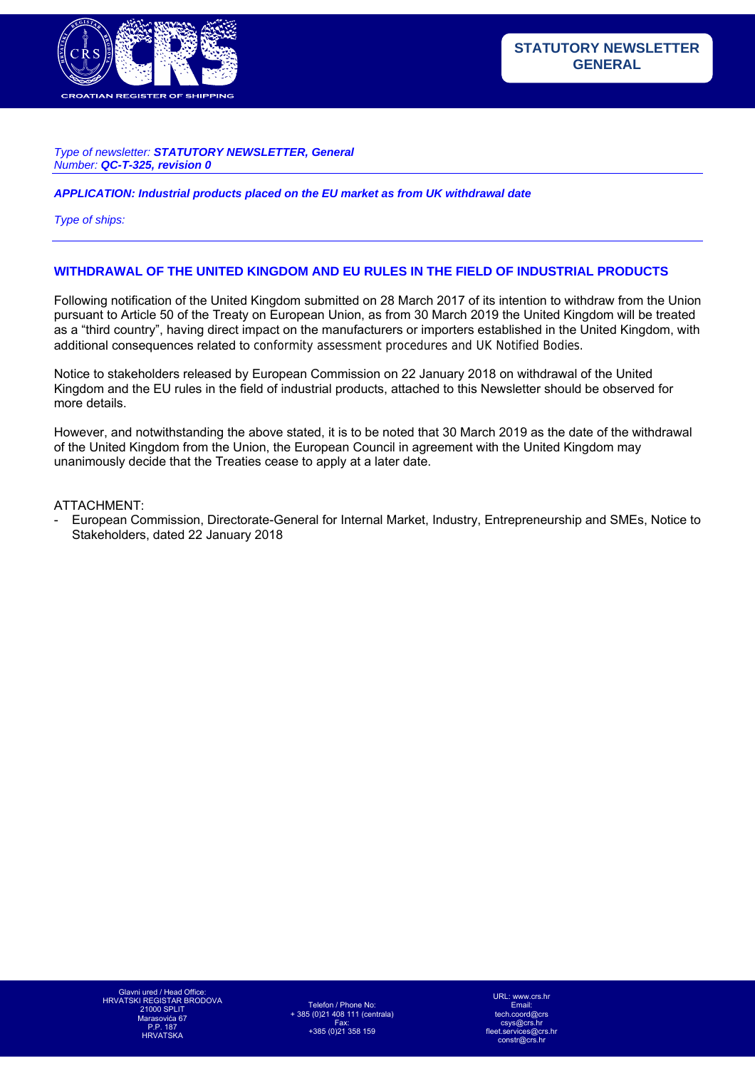

#### *Type of newsletter: STATUTORY NEWSLETTER, General Number: QC-T-325, revision 0*

*APPLICATION: Industrial products placed on the EU market as from UK withdrawal date* 

*Type of ships:* 

#### **WITHDRAWAL OF THE UNITED KINGDOM AND EU RULES IN THE FIELD OF INDUSTRIAL PRODUCTS**

Following notification of the United Kingdom submitted on 28 March 2017 of its intention to withdraw from the Union pursuant to Article 50 of the Treaty on European Union, as from 30 March 2019 the United Kingdom will be treated as a "third country", having direct impact on the manufacturers or importers established in the United Kingdom, with additional consequences related to conformity assessment procedures and UK Notified Bodies.

Notice to stakeholders released by European Commission on 22 January 2018 on withdrawal of the United Kingdom and the EU rules in the field of industrial products, attached to this Newsletter should be observed for more details.

However, and notwithstanding the above stated, it is to be noted that 30 March 2019 as the date of the withdrawal of the United Kingdom from the Union, the European Council in agreement with the United Kingdom may unanimously decide that the Treaties cease to apply at a later date.

ATTACHMENT:

- European Commission, Directorate-General for Internal Market, Industry, Entrepreneurship and SMEs, Notice to Stakeholders, dated 22 January 2018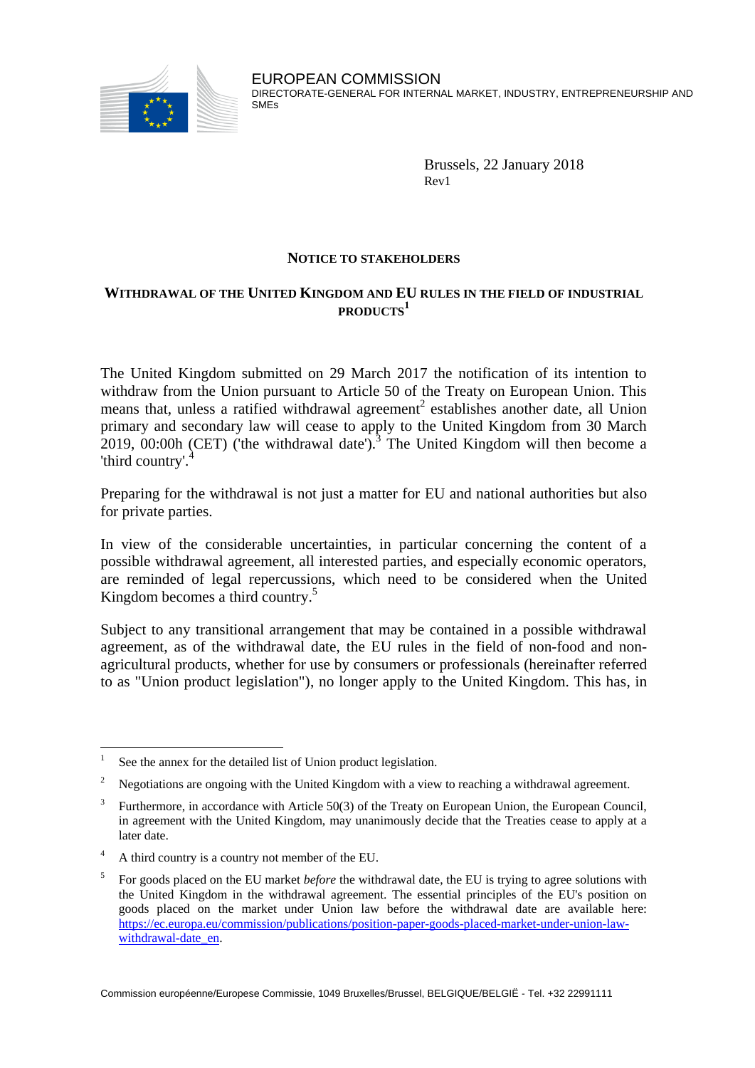

Brussels, 22 January 2018 Rev1

## **NOTICE TO STAKEHOLDERS**

## **WITHDRAWAL OF THE UNITED KINGDOM AND EU RULES IN THE FIELD OF INDUSTRIAL PRODUCTS<sup>1</sup>**

The United Kingdom submitted on 29 March 2017 the notification of its intention to withdraw from the Union pursuant to Article 50 of the Treaty on European Union. This means that, unless a ratified withdrawal agreement<sup>2</sup> establishes another date, all Union primary and secondary law will cease to apply to the United Kingdom from 30 March 2019, 00:00h (CET) ('the withdrawal date').<sup>3</sup> The United Kingdom will then become a 'third country'.<sup>4</sup>

Preparing for the withdrawal is not just a matter for EU and national authorities but also for private parties.

In view of the considerable uncertainties, in particular concerning the content of a possible withdrawal agreement, all interested parties, and especially economic operators, are reminded of legal repercussions, which need to be considered when the United Kingdom becomes a third country. 5

Subject to any transitional arrangement that may be contained in a possible withdrawal agreement, as of the withdrawal date, the EU rules in the field of non-food and nonagricultural products, whether for use by consumers or professionals (hereinafter referred to as "Union product legislation"), no longer apply to the United Kingdom. This has, in

 $\overline{a}$ 

<sup>1</sup> See the annex for the detailed list of Union product legislation.

<sup>&</sup>lt;sup>2</sup> Negotiations are ongoing with the United Kingdom with a view to reaching a withdrawal agreement.

<sup>3</sup> Furthermore, in accordance with Article 50(3) of the Treaty on European Union, the European Council, in agreement with the United Kingdom, may unanimously decide that the Treaties cease to apply at a later date.

<sup>&</sup>lt;sup>4</sup> A third country is a country not member of the EU.

<sup>5</sup> For goods placed on the EU market *before* the withdrawal date, the EU is trying to agree solutions with the United Kingdom in the withdrawal agreement. The essential principles of the EU's position on goods placed on the market under Union law before the withdrawal date are available here: [https://ec.europa.eu/commission/publications/position-paper-goods-placed-market-under-union-law](https://ec.europa.eu/commission/publications/position-paper-goods-placed-market-under-union-law-withdrawal-date_en)[withdrawal-date\\_en.](https://ec.europa.eu/commission/publications/position-paper-goods-placed-market-under-union-law-withdrawal-date_en)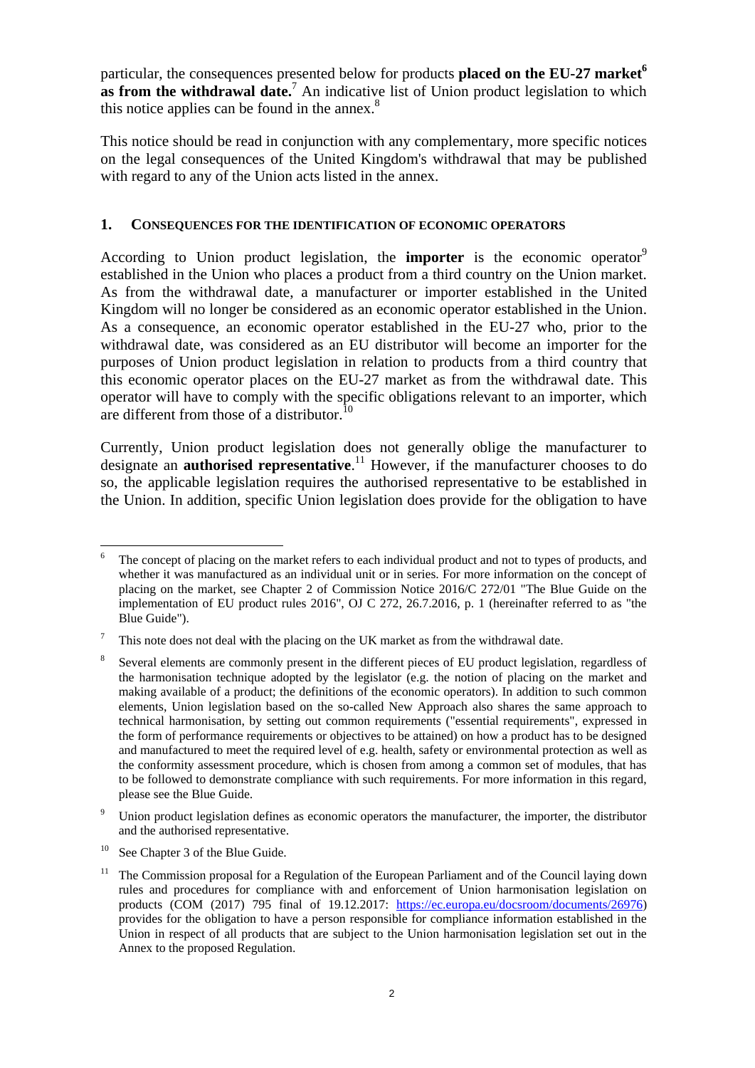particular, the consequences presented below for products **placed on the EU-27 market<sup>6</sup> as from the withdrawal date.**<sup>7</sup> An indicative list of Union product legislation to which this notice applies can be found in the annex. $8$ 

This notice should be read in conjunction with any complementary, more specific notices on the legal consequences of the United Kingdom's withdrawal that may be published with regard to any of the Union acts listed in the annex.

#### **1. CONSEQUENCES FOR THE IDENTIFICATION OF ECONOMIC OPERATORS**

According to Union product legislation, the **importer** is the economic operator<sup>9</sup> established in the Union who places a product from a third country on the Union market. As from the withdrawal date, a manufacturer or importer established in the United Kingdom will no longer be considered as an economic operator established in the Union. As a consequence, an economic operator established in the EU-27 who, prior to the withdrawal date, was considered as an EU distributor will become an importer for the purposes of Union product legislation in relation to products from a third country that this economic operator places on the EU-27 market as from the withdrawal date. This operator will have to comply with the specific obligations relevant to an importer, which are different from those of a distributor.<sup>10</sup>

Currently, Union product legislation does not generally oblige the manufacturer to designate an **authorised representative**. <sup>11</sup> However, if the manufacturer chooses to do so, the applicable legislation requires the authorised representative to be established in the Union. In addition, specific Union legislation does provide for the obligation to have

 $\overline{a}$ The concept of placing on the market refers to each individual product and not to types of products, and whether it was manufactured as an individual unit or in series. For more information on the concept of placing on the market, see Chapter 2 of Commission Notice 2016/C 272/01 "The Blue Guide on the implementation of EU product rules 2016", OJ C 272, 26.7.2016, p. 1 (hereinafter referred to as "the Blue Guide").

<sup>7</sup> This note does not deal w**i**th the placing on the UK market as from the withdrawal date.

<sup>8</sup> Several elements are commonly present in the different pieces of EU product legislation, regardless of the harmonisation technique adopted by the legislator (e.g. the notion of placing on the market and making available of a product; the definitions of the economic operators). In addition to such common elements, Union legislation based on the so-called New Approach also shares the same approach to technical harmonisation, by setting out common requirements ("essential requirements", expressed in the form of performance requirements or objectives to be attained) on how a product has to be designed and manufactured to meet the required level of e.g. health, safety or environmental protection as well as the conformity assessment procedure, which is chosen from among a common set of modules, that has to be followed to demonstrate compliance with such requirements. For more information in this regard, please see the Blue Guide.

<sup>&</sup>lt;sup>9</sup> Union product legislation defines as economic operators the manufacturer, the importer, the distributor and the authorised representative.

<sup>&</sup>lt;sup>10</sup> See Chapter 3 of the Blue Guide.

<sup>11</sup> The Commission proposal for a Regulation of the European Parliament and of the Council laying down rules and procedures for compliance with and enforcement of Union harmonisation legislation on products (COM (2017) 795 final of 19.12.2017: [https://ec.europa.eu/docsroom/documents/26976\)](https://ec.europa.eu/docsroom/documents/26976) provides for the obligation to have a person responsible for compliance information established in the Union in respect of all products that are subject to the Union harmonisation legislation set out in the Annex to the proposed Regulation.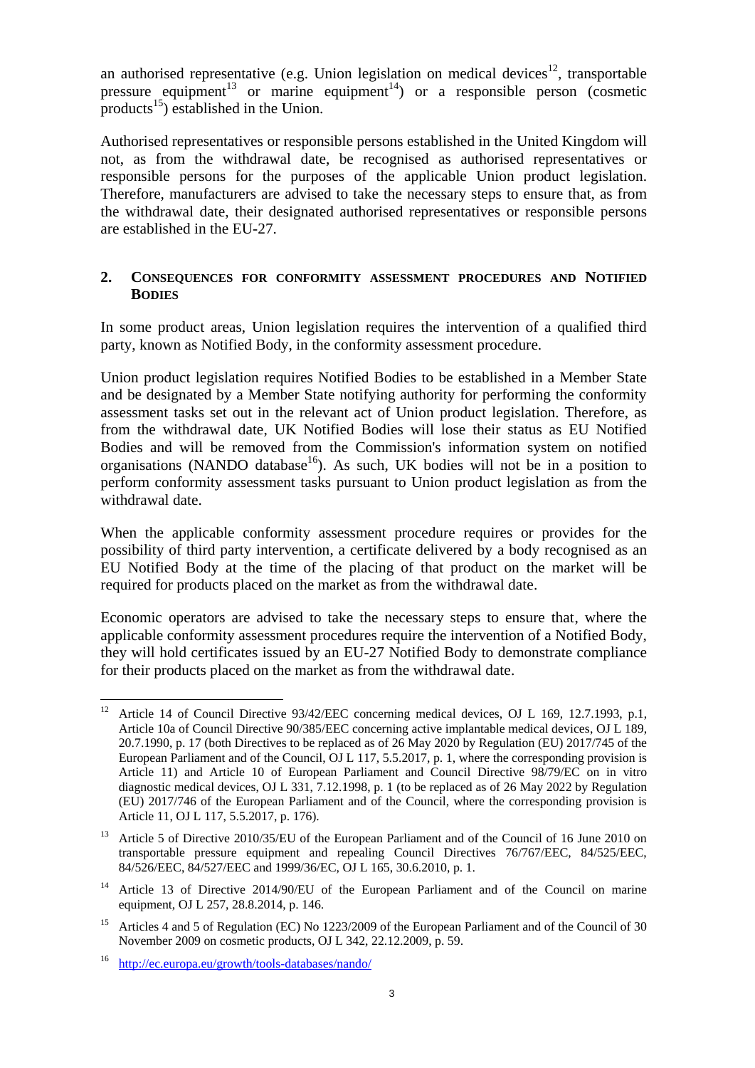an authorised representative (e.g. Union legislation on medical devices<sup>12</sup>, transportable pressure equipment<sup>13</sup> or marine equipment<sup>14</sup>) or a responsible person (cosmetic products<sup>15</sup>) established in the Union.

Authorised representatives or responsible persons established in the United Kingdom will not, as from the withdrawal date, be recognised as authorised representatives or responsible persons for the purposes of the applicable Union product legislation. Therefore, manufacturers are advised to take the necessary steps to ensure that, as from the withdrawal date, their designated authorised representatives or responsible persons are established in the EU-27.

## **2. CONSEQUENCES FOR CONFORMITY ASSESSMENT PROCEDURES AND NOTIFIED BODIES**

In some product areas, Union legislation requires the intervention of a qualified third party, known as Notified Body, in the conformity assessment procedure.

Union product legislation requires Notified Bodies to be established in a Member State and be designated by a Member State notifying authority for performing the conformity assessment tasks set out in the relevant act of Union product legislation. Therefore, as from the withdrawal date, UK Notified Bodies will lose their status as EU Notified Bodies and will be removed from the Commission's information system on notified organisations (NANDO database<sup>16</sup>). As such, UK bodies will not be in a position to perform conformity assessment tasks pursuant to Union product legislation as from the withdrawal date.

When the applicable conformity assessment procedure requires or provides for the possibility of third party intervention, a certificate delivered by a body recognised as an EU Notified Body at the time of the placing of that product on the market will be required for products placed on the market as from the withdrawal date.

Economic operators are advised to take the necessary steps to ensure that, where the applicable conformity assessment procedures require the intervention of a Notified Body, they will hold certificates issued by an EU-27 Notified Body to demonstrate compliance for their products placed on the market as from the withdrawal date.

 $12\,$ <sup>12</sup> Article 14 of Council Directive 93/42/EEC concerning medical devices, OJ L 169, 12.7.1993, p.1, Article 10a of Council Directive 90/385/EEC concerning active implantable medical devices, OJ L 189, 20.7.1990, p. 17 (both Directives to be replaced as of 26 May 2020 by Regulation (EU) 2017/745 of the European Parliament and of the Council, OJ L 117, 5.5.2017, p. 1, where the corresponding provision is Article 11) and Article 10 of European Parliament and Council Directive 98/79/EC on in vitro diagnostic medical devices, OJ L 331, 7.12.1998, p. 1 (to be replaced as of 26 May 2022 by Regulation (EU) 2017/746 of the European Parliament and of the Council, where the corresponding provision is Article 11, OJ L 117, 5.5.2017, p. 176).

<sup>&</sup>lt;sup>13</sup> Article 5 of Directive 2010/35/EU of the European Parliament and of the Council of 16 June 2010 on transportable pressure equipment and repealing Council Directives 76/767/EEC, 84/525/EEC, 84/526/EEC, 84/527/EEC and 1999/36/EC, OJ L 165, 30.6.2010, p. 1.

<sup>&</sup>lt;sup>14</sup> Article 13 of Directive 2014/90/EU of the European Parliament and of the Council on marine equipment, OJ L 257, 28.8.2014, p. 146.

<sup>&</sup>lt;sup>15</sup> Articles 4 and 5 of Regulation (EC) No 1223/2009 of the European Parliament and of the Council of 30 November 2009 on cosmetic products, OJ L 342, 22.12.2009, p. 59.

<sup>16</sup> <http://ec.europa.eu/growth/tools-databases/nando/>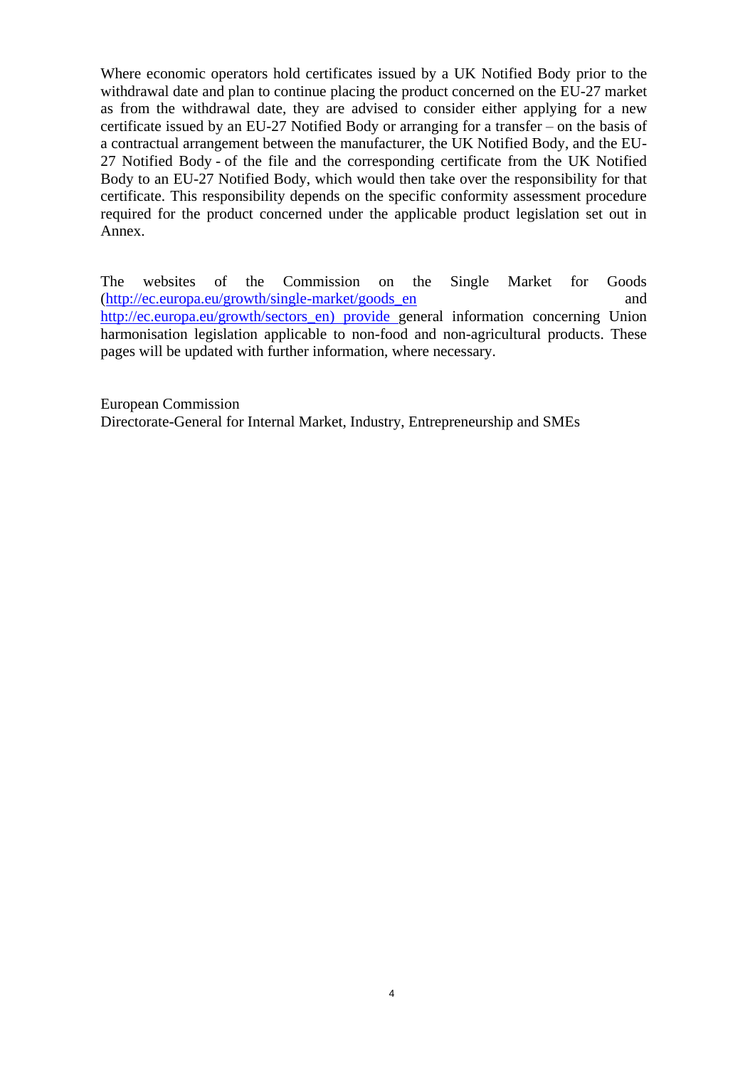Where economic operators hold certificates issued by a UK Notified Body prior to the withdrawal date and plan to continue placing the product concerned on the EU-27 market as from the withdrawal date, they are advised to consider either applying for a new certificate issued by an EU-27 Notified Body or arranging for a transfer – on the basis of a contractual arrangement between the manufacturer, the UK Notified Body, and the EU-27 Notified Body - of the file and the corresponding certificate from the UK Notified Body to an EU-27 Notified Body, which would then take over the responsibility for that certificate. This responsibility depends on the specific conformity assessment procedure required for the product concerned under the applicable product legislation set out in Annex.

The websites of the Commission on the Single Market for Goods (http://ec.europa.eu/growth/single-market/goods en and [http://ec.europa.eu/growth/sectors\\_en\)](http://ec.europa.eu/growth/sectors_en) provide general information concerning Union harmonisation legislation applicable to non-food and non-agricultural products. These pages will be updated with further information, where necessary.

European Commission

Directorate-General for Internal Market, Industry, Entrepreneurship and SMEs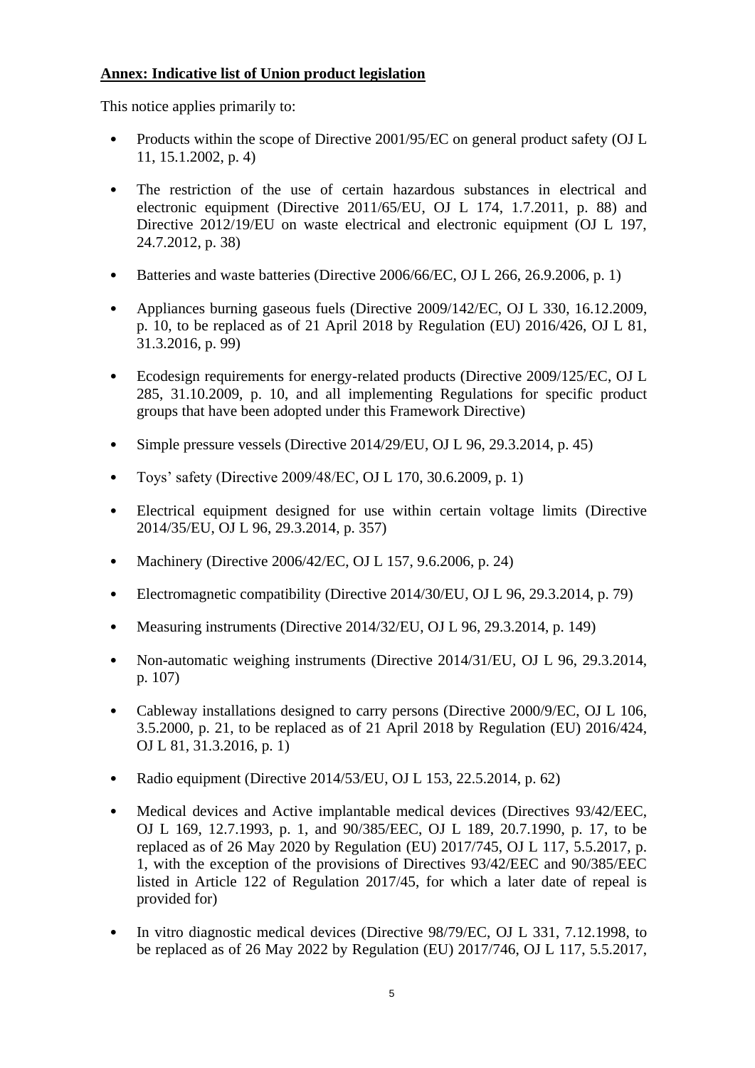# **Annex: Indicative list of Union product legislation**

This notice applies primarily to:

- Products within the scope of Directive 2001/95/EC on general product safety (OJ L 11, 15.1.2002, p. 4)
- The restriction of the use of certain hazardous substances in electrical and electronic equipment (Directive 2011/65/EU, OJ L 174, 1.7.2011, p. 88) and Directive 2012/19/EU on waste electrical and electronic equipment (OJ L 197, 24.7.2012, p. 38)
- Batteries and waste batteries (Directive 2006/66/EC, OJ L 266, 26.9.2006, p. 1)
- Appliances burning gaseous fuels (Directive 2009/142/EC, OJ L 330, 16.12.2009, p. 10, to be replaced as of 21 April 2018 by Regulation (EU) 2016/426, OJ L 81, 31.3.2016, p. 99)
- Ecodesign requirements for energy-related products (Directive 2009/125/EC, OJ L 285, 31.10.2009, p. 10, and all implementing Regulations for specific product groups that have been adopted under this Framework Directive)
- Simple pressure vessels (Directive 2014/29/EU, OJ L 96, 29.3.2014, p. 45)
- Toys' safety (Directive 2009/48/EC*,* OJ L 170, 30.6.2009, p. 1)
- Electrical equipment designed for use within certain voltage limits (Directive 2014/35/EU, OJ L 96, 29.3.2014, p. 357)
- Machinery (Directive 2006/42/EC, OJ L 157, 9.6.2006, p. 24)
- Electromagnetic compatibility (Directive 2014/30/EU, OJ L 96, 29.3.2014, p. 79)
- Measuring instruments (Directive 2014/32/EU, OJ L 96, 29.3.2014, p. 149)
- Non-automatic weighing instruments (Directive 2014/31/EU, OJ L 96, 29.3.2014, p. 107)
- Cableway installations designed to carry persons (Directive 2000/9/EC, OJ L 106, 3.5.2000, p. 21, to be replaced as of 21 April 2018 by Regulation (EU) 2016/424, OJ L 81, 31.3.2016, p. 1)
- Radio equipment (Directive 2014/53/EU, OJ L 153, 22.5.2014, p. 62)
- Medical devices and Active implantable medical devices (Directives 93/42/EEC, OJ L 169, 12.7.1993, p. 1, and 90/385/EEC, OJ L 189, 20.7.1990, p. 17, to be replaced as of 26 May 2020 by Regulation (EU) 2017/745, OJ L 117, 5.5.2017, p. 1, with the exception of the provisions of Directives 93/42/EEC and 90/385/EEC listed in Article 122 of Regulation 2017/45, for which a later date of repeal is provided for)
- In vitro diagnostic medical devices (Directive 98/79/EC, OJ L 331, 7.12.1998, to be replaced as of 26 May 2022 by Regulation (EU) 2017/746, OJ L 117, 5.5.2017,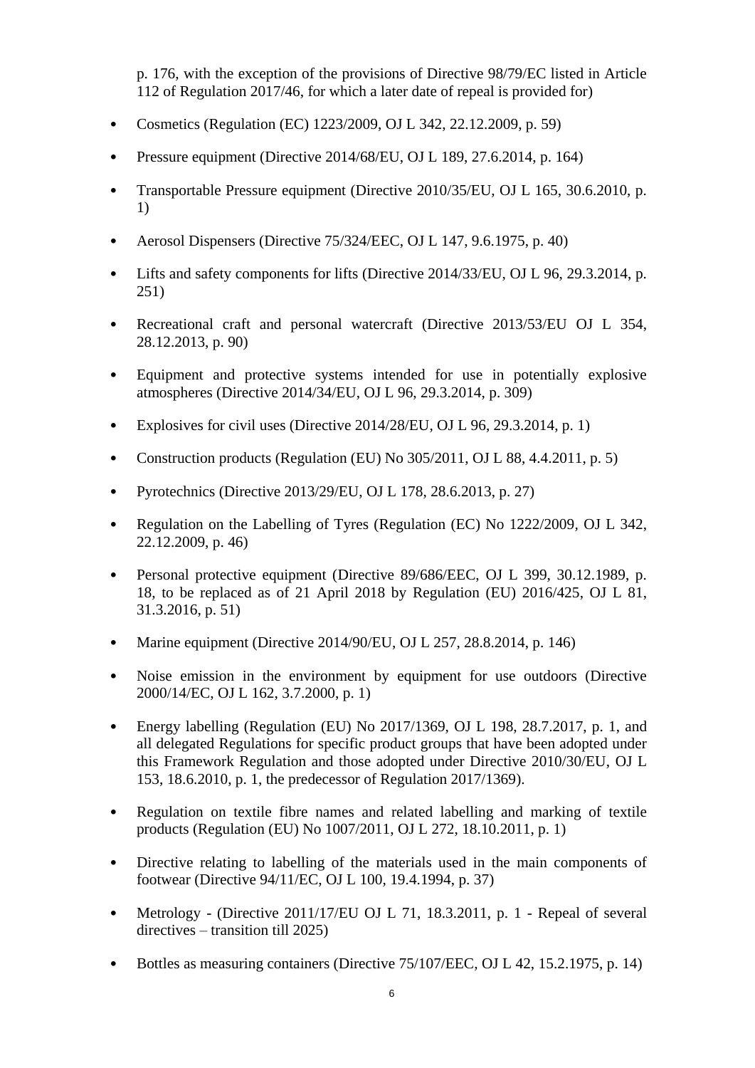p. 176, with the exception of the provisions of Directive 98/79/EC listed in Article 112 of Regulation 2017/46, for which a later date of repeal is provided for)

- Cosmetics (Regulation (EC) 1223/2009, OJ L 342, 22.12.2009, p. 59)
- Pressure equipment (Directive 2014/68/EU, OJ L 189, 27.6.2014, p. 164)
- Transportable Pressure equipment (Directive 2010/35/EU, OJ L 165, 30.6.2010, p. 1)
- Aerosol Dispensers (Directive 75/324/EEC, OJ L 147, 9.6.1975, p. 40)
- Lifts and safety components for lifts (Directive 2014/33/EU, OJ L 96, 29.3.2014, p. 251)
- Recreational craft and personal watercraft (Directive 2013/53/EU OJ L 354, 28.12.2013, p. 90)
- Equipment and protective systems intended for use in potentially explosive atmospheres (Directive 2014/34/EU, OJ L 96, 29.3.2014, p. 309)
- Explosives for civil uses (Directive  $2014/28/EU$ , OJ L 96, 29.3.2014, p. 1)
- Construction products (Regulation (EU) No 305/2011, OJ L 88, 4.4.2011, p. 5)
- Pyrotechnics (Directive 2013/29/EU, OJ L 178, 28.6.2013, p. 27)
- Regulation on the Labelling of Tyres (Regulation (EC) No 1222/2009*,* OJ L 342, 22.12.2009, p. 46)
- Personal protective equipment (Directive 89/686/EEC, OJ L 399, 30.12.1989, p. 18, to be replaced as of 21 April 2018 by Regulation (EU) 2016/425, OJ L 81, 31.3.2016, p. 51)
- Marine equipment (Directive  $2014/90/EU$ , OJ L  $257, 28.8.2014$ , p. 146)
- Noise emission in the environment by equipment for use outdoors (Directive 2000/14/EC, OJ L 162, 3.7.2000, p. 1)
- Energy labelling (Regulation (EU) No 2017/1369, OJ L 198, 28.7.2017, p. 1, and all delegated Regulations for specific product groups that have been adopted under this Framework Regulation and those adopted under Directive 2010/30/EU, OJ L 153, 18.6.2010, p. 1, the predecessor of Regulation 2017/1369).
- Regulation on textile fibre names and related labelling and marking of textile products (Regulation (EU) No 1007/2011, OJ L 272, 18.10.2011, p. 1)
- Directive relating to labelling of the materials used in the main components of footwear (Directive 94/11/EC, OJ L 100, 19.4.1994, p. 37)
- Metrology (Directive 2011/17/EU OJ L 71, 18.3.2011, p. 1 Repeal of several directives – transition till 2025)
- Bottles as measuring containers (Directive 75/107/EEC, OJ L 42, 15.2.1975, p. 14)